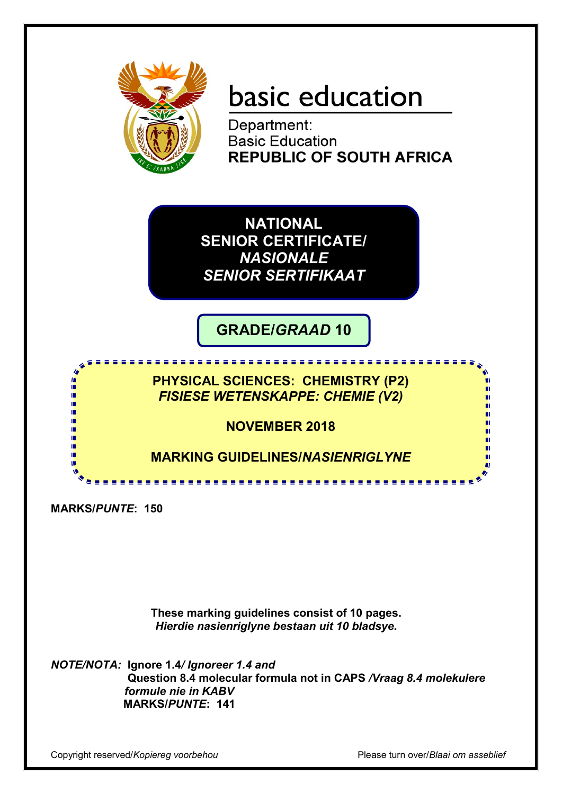

# basic education

Department: **Basic Education REPUBLIC OF SOUTH AFRICA** 

**NATIONAL SENIOR CERTIFICATE/** *NASIONALE SENIOR SERTIFIKAAT*

**GRADE/***GRAAD* **10**

<u>. . . . . . . . . . . . . . .</u>

**PHYSICAL SCIENCES: CHEMISTRY (P2)** *FISIESE WETENSKAPPE: CHEMIE (V2)*

**NOVEMBER 2018**

**MARKING GUIDELINES/***NASIENRIGLYNE*

**MARKS/***PUNTE***: 150**

僧 n. 庫

'n m m

> **These marking guidelines consist of 10 pages.** *Hierdie nasienriglyne bestaan uit 10 bladsye.*

*NOTE/NOTA:* **Ignore 1.4***/ Ignoreer 1.4 and* **Question 8.4 molecular formula not in CAPS** */Vraag 8.4 molekulere formule nie in KABV*  **MARKS/***PUNTE***: 141**

Copyright reserved/*Kopiereg voorbehou* Please turn over/*Blaai om asseblief*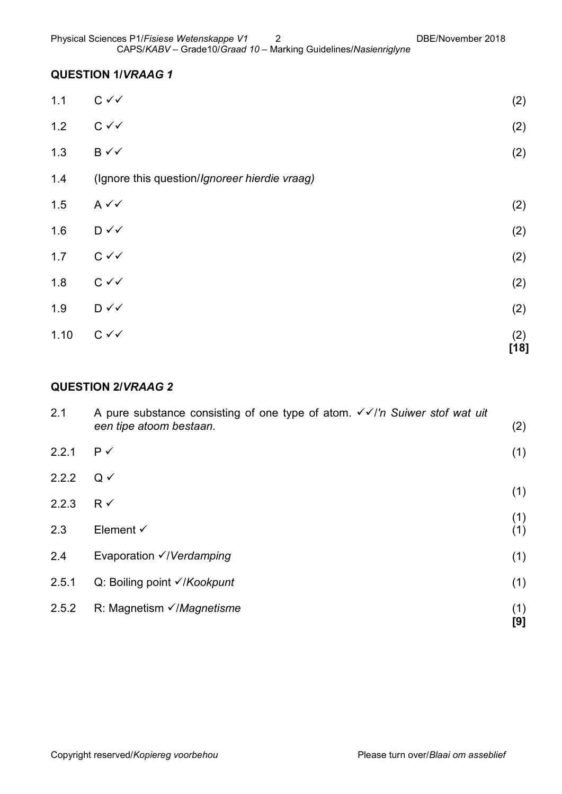### **QUESTION 1/***VRAAG 1*

| 1.10 | $C \vee C$                                    | (2)<br>$[18]$ |
|------|-----------------------------------------------|---------------|
| 1.9  | $D \vee \vee$                                 | (2)           |
| 1.8  | $C \vee C$                                    | (2)           |
| 1.7  | $C \vee C$                                    | (2)           |
| 1.6  | $D \vee \vee$                                 | (2)           |
| 1.5  | $A \vee C$                                    | (2)           |
| 1.4  | (Ignore this question/Ignoreer hierdie vraag) |               |
| 1.3  | $B \checkmark$                                | (2)           |
| 1.2  | $C \vee C$                                    | (2)           |
| 1.1  | $C \vee C$                                    | (2)           |

## **QUESTION 2/***VRAAG 2*

| 2.1   | A pure substance consisting of one type of atom. $\checkmark$ //'n Suiwer stof wat uit<br>een tipe atoom bestaan. | (2)        |
|-------|-------------------------------------------------------------------------------------------------------------------|------------|
| 2.2.1 | $P \checkmark$                                                                                                    | (1)        |
| 2.2.2 | $Q \checkmark$                                                                                                    |            |
| 2.2.3 | $R \checkmark$                                                                                                    | (1)        |
| 2.3   | Element $\checkmark$                                                                                              | (1)<br>(1) |
| 2.4   | Evaporation $\checkmark$ /Verdamping                                                                              | (1)        |
| 2.5.1 | Q: Boiling point <del>√/Kookpunt</del>                                                                            | (1)        |
| 2.5.2 | R: Magnetism $\sqrt{}$ <i>Magnetisme</i>                                                                          | (1)<br>[9] |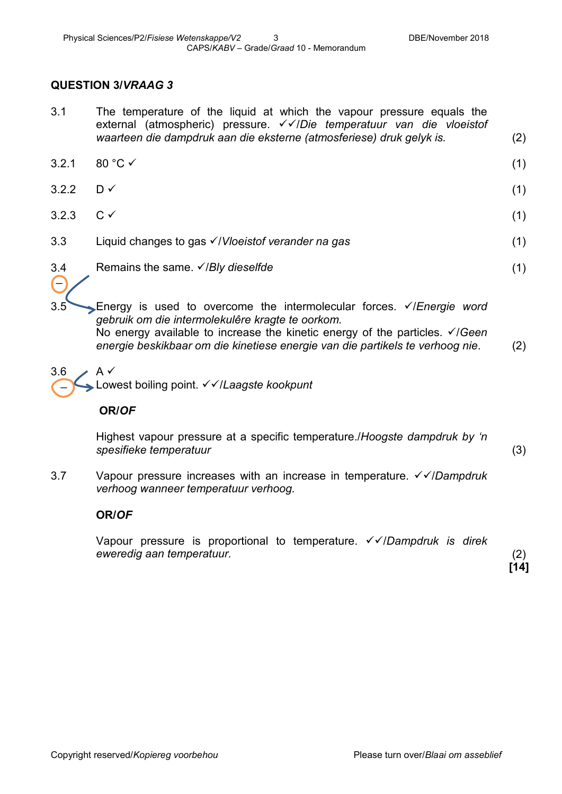#### **QUESTION 3/***VRAAG 3*

- 3.1 The temperature of the liquid at which the vapour pressure equals the external (atmospheric) pressure. <del>√ ∕</del>/Die temperatuur van die vloeistof *waarteen die dampdruk aan die eksterne (atmosferiese) druk gelyk is.* (2)
- $3.2.1$  80 °C  $\checkmark$  (1)
- $3.2.2$  D  $\checkmark$  (1) 3.2.3  $C \t\t(1)$
- 3.3 Liquid changes to gas /*Vloeistof verander na gas* (1)
- 3.4 Remains the same. /*Bly dieselfde* (1)

3.5 Energy is used to overcome the intermolecular forces. /*Energie word gebruik om die intermolekulêre kragte te oorkom.* (2) No energy available to increase the kinetic energy of the particles. *VIGeen energie beskikbaar om die kinetiese energie van die partikels te verhoog nie*.

 $3.6 \rightarrow A \checkmark$ Lowest boiling point. /*Laagste kookpunt* \_

#### **OR/***OF*

 $\overline{a}$ 

Highest vapour pressure at a specific temperature./*Hoogste dampdruk by 'n spesifieke temperatuur*

3.7 Vapour pressure increases with an increase in temperature. √ <del>V</del>/Dampdruk *verhoog wanneer temperatuur verhoog.*

#### **OR/***OF*

Vapour pressure is proportional to temperature. √ <del>V</del> *Dampdruk is direk eweredig aan temperatuur.*

(2) **[14]**

(3)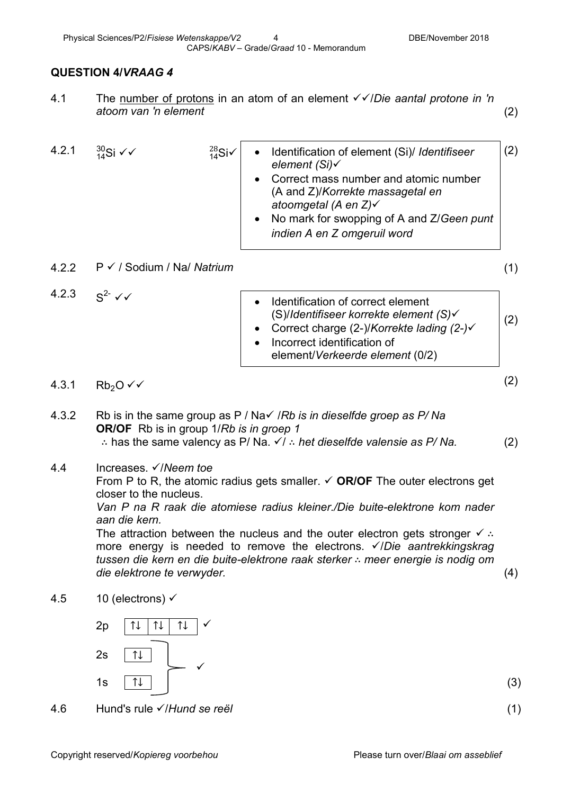### **QUESTION 4/***VRAAG 4*

4.1 The number of protons in an atom of an element /*Die aantal protone in 'n atoom van 'n element* (2)

| 4.2.1 | $^{30}_{14}$ Si $\checkmark\checkmark$ | $^{28}_{14}$ Si√ | Identification of element (Si)/ Identifiseer<br>$\bullet$<br>element (Si)√<br>Correct mass number and atomic number<br>(A and Z)/Korrekte massagetal en<br>atoomgetal (A en Z)√<br>• No mark for swopping of A and Z/Geen punt<br>indien A en Z omgeruil word | (2) |
|-------|----------------------------------------|------------------|---------------------------------------------------------------------------------------------------------------------------------------------------------------------------------------------------------------------------------------------------------------|-----|
| 4.2.2 | $P \checkmark$ / Sodium / Na/ Natrium  |                  |                                                                                                                                                                                                                                                               |     |

4.2.3  $S^2 \sqrt{ }$ (2) • Identification of correct element (S)/*Identifiseer korrekte element (S)* • Correct charge (2-)/*Korrekte lading (2-)* • Incorrect identification of element/*Verkeerde element* (0/2)

# $4.3.1$  Rb<sub>2</sub>O  $\checkmark$  (2)

- 4.3.2 Rb is in the same group as P / Na / / Rb is in dieselfde groep as P/ Na **OR/OF** Rb is in group 1/*Rb is in groep 1* ∴ has the same valency as P/ Na.  $\checkmark$  : het dieselfde valensie as P/ Na. (2)
- 4.4 Increases. /*Neem toe*

From P to R, the atomic radius gets smaller. **OR/OF** The outer electrons get closer to the nucleus.

*Van P na R raak die atomiese radius kleiner./Die buite-elektrone kom nader aan die kern.*

The attraction between the nucleus and the outer electron gets stronger  $\checkmark$  ∴ more energy is needed to remove the electrons. *VIDie aantrekkingskrag tussen die kern en die buite-elektrone raak sterker* ∴ *meer energie is nodig om die elektrone te verwyder.* (4)

4.5  $10$  (electrons)  $\checkmark$ 



- 4.6 Hund's rule /*Hund se reël* (1)
	-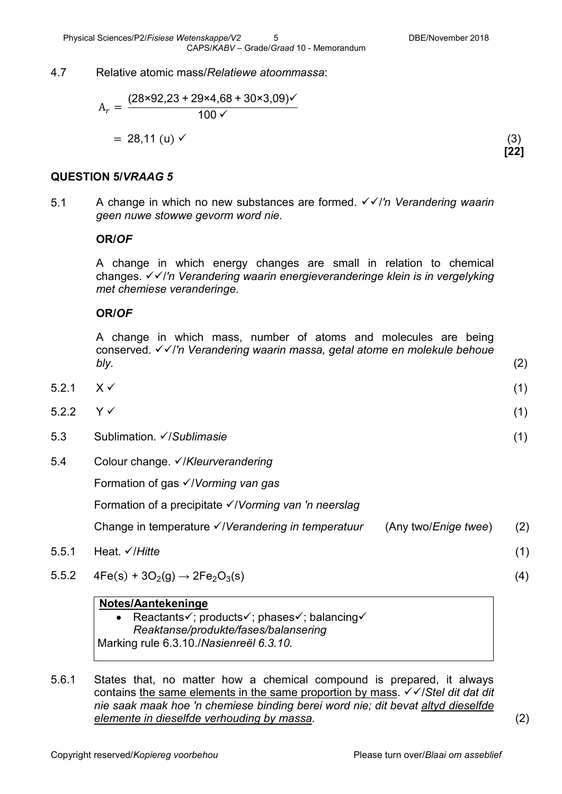#### 4.7 Relative atomic mass/*Relatiewe atoommassa*:

$$
A_r = \frac{(28 \times 92.23 + 29 \times 4.68 + 30 \times 3.09) \checkmark}{100 \checkmark}
$$
  
= 28.11 (u)  $\checkmark$  (3)

**[22]**

#### **QUESTION 5/***VRAAG 5*

5.1 A change in which no new substances are formed. √ in Verandering waarin *geen nuwe stowwe gevorm word nie.*

#### **OR/***OF*

A change in which energy changes are small in relation to chemical changes. /*'n Verandering waarin energieveranderinge klein is in vergelyking met chemiese veranderinge.*

#### **OR/***OF*

A change in which mass, number of atoms and molecules are being conserved. /*'n Verandering waarin massa, getal atome en molekule behoue bly.* (2)

- $5.2.1 \quad X \checkmark$  (1)
- $5.2.2$  Y  $\checkmark$  (1)
- 5.3 Sublimation. /*Sublimasie* (1)
- 5.4 Colour change. /*Kleurverandering*

Formation of gas /*Vorming van gas*

Formation of a precipitate /*Vorming van 'n neerslag*

Change in temperature /*Verandering in temperatuur* (Any two/*Enige twee*) (2)

- 5.5.1 Heat. /*Hitte* (1)
- $5.5.2 \quad 4Fe(s) + 3O_2(g) \rightarrow 2Fe_2O_3(s)$  (4)

#### **Notes/Aantekeninge**

- Reactants $\checkmark$ ; products $\checkmark$ ; phases $\checkmark$ ; balancing $\checkmark$ *Reaktanse/produkte/fases/balansering* Marking rule 6.3.10./*Nasienreël 6.3.10.*
- 5.6.1 States that, no matter how a chemical compound is prepared, it always contains the same elements in the same proportion by mass.  $\sqrt{\sqrt{S}}$  *stel dit dat dit nie saak maak hoe 'n chemiese binding berei word nie; dit bevat altyd dieselfde elemente in dieselfde verhouding by massa.* (2)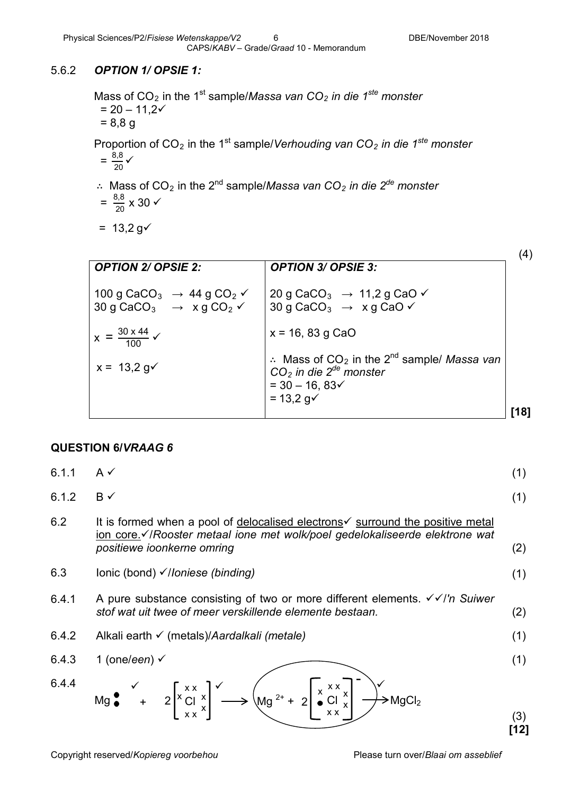#### 5.6.2 *OPTION 1/ OPSIE 1:*

Mass of CO<sub>2</sub> in the 1<sup>st</sup> sample/*Massa van CO<sub>2</sub> in die 1<sup>ste</sup> monster*  $= 20 - 11,2 \checkmark$  = 8,8 g Proportion of CO<sub>2</sub> in the 1<sup>st</sup> sample/*Verhouding van CO<sub>2</sub> in die 1<sup>ste</sup> monster*  $=\frac{8,8}{20}$   $\checkmark$ ∴ Mass of CO2 in the 2nd sample/*Massa van CO2 in die 2de monster*

$$
=\frac{8,8}{20}\times 30\checkmark
$$

 $= 13,2 \text{ g}$ 

|                                                                                                                                                  |                                                                                                                                                                                 | (4)  |
|--------------------------------------------------------------------------------------------------------------------------------------------------|---------------------------------------------------------------------------------------------------------------------------------------------------------------------------------|------|
| <b>OPTION 2/ OPSIE 2:</b>                                                                                                                        | <b>OPTION 3/ OPSIE 3:</b>                                                                                                                                                       |      |
| 100 g CaCO <sub>3</sub> $\rightarrow$ 44 g CO <sub>2</sub> $\checkmark$<br>30 g CaCO <sub>3</sub> $\rightarrow$ x g CO <sub>2</sub> $\checkmark$ | 20 g CaCO <sub>3</sub> $\rightarrow$ 11,2 g CaO $\checkmark$<br>30 g CaCO <sub>3</sub> $\rightarrow$ x g CaO $\checkmark$                                                       |      |
| $x = \frac{30 \times 44}{100}$                                                                                                                   | $x = 16, 83$ g CaO                                                                                                                                                              |      |
| $x = 13.2$ g $\checkmark$                                                                                                                        | $\therefore$ Mass of CO <sub>2</sub> in the 2 <sup>nd</sup> sample/ Massa van<br>$CO2$ in die 2 <sup>de</sup> monster<br>$=$ 30 $-$ 16, 83 $\checkmark$<br>$= 13,2 g\checkmark$ |      |
|                                                                                                                                                  |                                                                                                                                                                                 | [18] |

#### **QUESTION 6/***VRAAG 6*

|       | Mg $\bullet$ + 2 $\left[x \times x \atop x \times x\right]$ $\left(\text{Mg}^{2+} + 2\right) \left[\begin{array}{c} x \times x \ x \text{ G} \\ x \times x \end{array}\right]$ $\rightarrow$ MgCl <sub>2</sub> | (3)<br>[12] |
|-------|----------------------------------------------------------------------------------------------------------------------------------------------------------------------------------------------------------------|-------------|
| 6.4.4 |                                                                                                                                                                                                                |             |
| 6.4.3 | 1 (one/een) $\checkmark$                                                                                                                                                                                       | (1)         |
| 6.4.2 | Alkali earth ✓ (metals)/Aardalkali (metale)                                                                                                                                                                    | (1)         |
| 6.4.1 | A pure substance consisting of two or more different elements. $\sqrt{\sqrt{}}$ Suiwer<br>stof wat uit twee of meer verskillende elemente bestaan.                                                             | (2)         |
| 6.3   | lonic (bond) √/loniese (binding)                                                                                                                                                                               | (1)         |
| 6.2   | It is formed when a pool of delocalised electrons $\checkmark$ surround the positive metal<br>ion core.√/Rooster metaal ione met wolk/poel gedelokaliseerde elektrone wat<br>positiewe ioonkerne omring        | (2)         |
| 6.1.2 | $B \checkmark$                                                                                                                                                                                                 | (1)         |
| 6.1.1 | $A \vee$                                                                                                                                                                                                       | (1)         |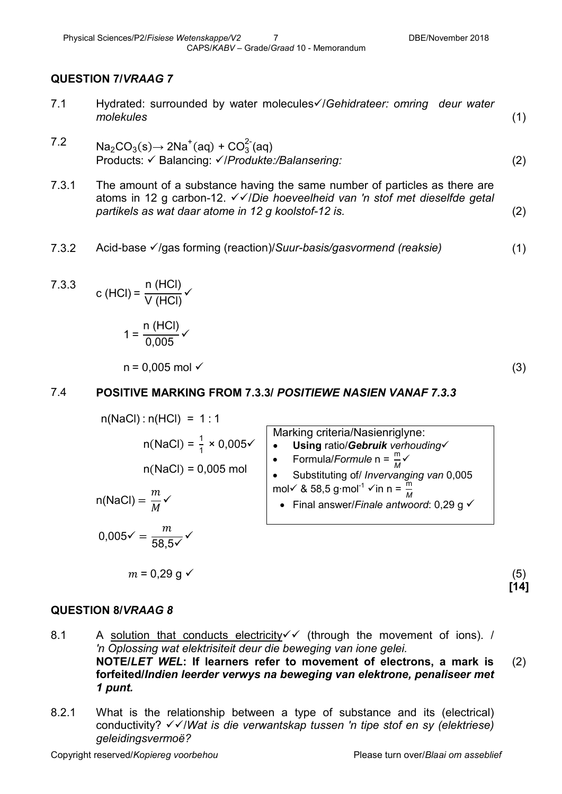#### **QUESTION 7/***VRAAG 7*

- 7.1 Hydrated: surrounded by water molecules/*Gehidrateer: omring deur water molekules* (1)
- 7.2 Na<sub>2</sub>CO<sub>3</sub>(s)→ 2Na<sup>+</sup>(aq) + CO<sub>3</sub><sup>-</sup>(aq) Products: √ Balancing: √/Produkte:/Balansering: (2)
- 7.3.1 The amount of a substance having the same number of particles as there are atoms in 12 g carbon-12. √ v/Die hoeveelheid van 'n stof met dieselfde getal *partikels as wat daar atome in 12 g koolstof-12 is.* (2)
- 7.3.2 Acid-base /gas forming (reaction)/*Suur-basis/gasvormend (reaksie)* (1)

7.3.3 c (HCl) = 
$$
\frac{n \text{ (HCl)}}{\text{V (HCl)}}
$$

$$
1 = \frac{n \text{ (HCl)}}{0,005} \checkmark
$$

 $n = 0.005$  mol  $\checkmark$  (3)

#### 7.4 **POSITIVE MARKING FROM 7.3.3/** *POSITIEWE NASIEN VANAF 7.3.3*

n(NaCl) : n(HCl) = 1 : 1  
\nn(NaCl) = 
$$
\frac{1}{1} \times 0.005 \times
$$
  
\nn(NaCl) = 0.005 mol  
\nn(NaCl) =  $\frac{m}{M} \times$   
\n0.005~ =  $\frac{m}{58.5 \times}$ 

$$
m=0.29\ \mathrm{g}\ \checkmark
$$

(5) **[14]**

#### **QUESTION 8/***VRAAG 8*

- 8.1 A solution that conducts electricity  $\checkmark$  (through the movement of ions). / *'n Oplossing wat elektrisiteit deur die beweging van ione gelei.* **NOTE/***LET WEL***: If learners refer to movement of electrons, a mark is forfeited/***Indien leerder verwys na beweging van elektrone, penaliseer met 1 punt.* (2)
- 8.2.1 What is the relationship between a type of substance and its (electrical) conductivity? /*Wat is die verwantskap tussen 'n tipe stof en sy (elektriese) geleidingsvermoë?*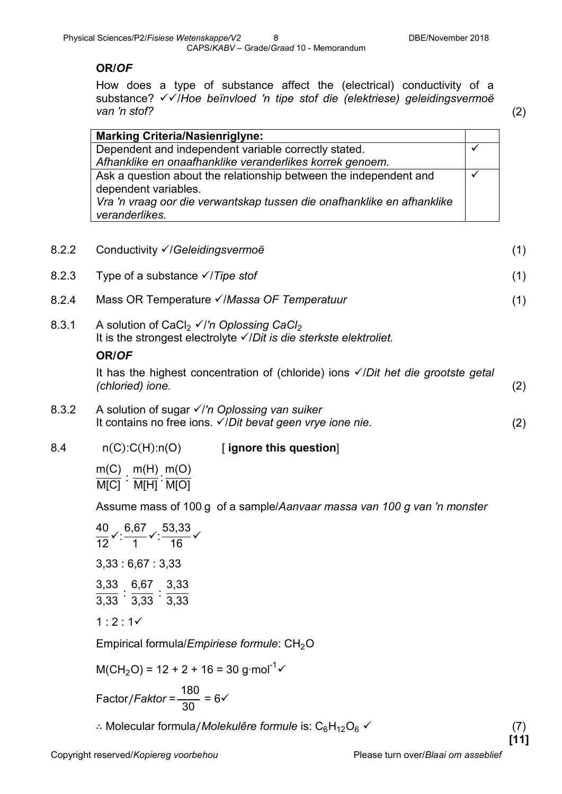#### **OR/***OF*

How does a type of substance affect the (electrical) conductivity of a substance? /*Hoe beïnvloed 'n tipe stof die (elektriese) geleidingsvermoë van 'n stof?* (2)

| Dependent and independent variable correctly stated.                   |
|------------------------------------------------------------------------|
| Afhanklike en onaafhanklike veranderlikes korrek genoem.               |
| Ask a question about the relationship between the independent and      |
| Vra 'n vraag oor die verwantskap tussen die onafhanklike en afhanklike |
|                                                                        |

| 8.2.2 | Conductivity √/Geleidingsvermoë<br>(1)                                                                                                                                 |  |  |
|-------|------------------------------------------------------------------------------------------------------------------------------------------------------------------------|--|--|
| 8.2.3 | Type of a substance $\sqrt{7}$ <i>Type stof</i>                                                                                                                        |  |  |
| 8.2.4 | Mass OR Temperature V/Massa OF Temperatuur                                                                                                                             |  |  |
| 8.3.1 | A solution of CaCl <sub>2</sub> $\checkmark$ /'n Oplossing CaCl <sub>2</sub><br>It is the strongest electrolyte $\checkmark$ Dit is die sterkste elektroliet.<br>OR/OF |  |  |
|       | It has the highest concentration of (chloride) ions $\checkmark$ Dit het die grootste getal<br>(chloried) ione.<br>(2)                                                 |  |  |
| 8.3.2 | A solution of sugar $\checkmark$ I'm Oplossing van suiker<br>It contains no free ions. $\checkmark$ /Dit bevat geen vrye ione nie.<br>(2)                              |  |  |
| 8.4   | $n(C)$ : $C(H)$ : $n(O)$<br>[ignore this question]<br>$m(H)$ m(O)<br>m(C)<br>M[C] M[H] M[O]                                                                            |  |  |

Assume mass of 100 g of a sample/*Aanvaar massa van 100 g van 'n monster*

40 12  $\checkmark$ : 6,67 1  $\checkmark$ : 53,33 16  $\checkmark$ 3,33 : 6,67 : 3,33 3,33  $\frac{1}{3,33}$  : 6,67  $\frac{1}{3,33}$  : 3,33 3,33  $1:2:1 \checkmark$ 

Empirical formula/*Empiriese formule*: CH<sub>2</sub>O

$$
M(CH_2O) = 12 + 2 + 16 = 30
$$
 g·mol<sup>-1</sup>

Factor/*Faktor* =  $\frac{180}{30}$  = 6 $\checkmark$ 

∴ Molecular formula/*Molekulêre formule* is:  $C_6H_{12}O_6$  <del> $\checkmark$ </del> (7)

**[11]**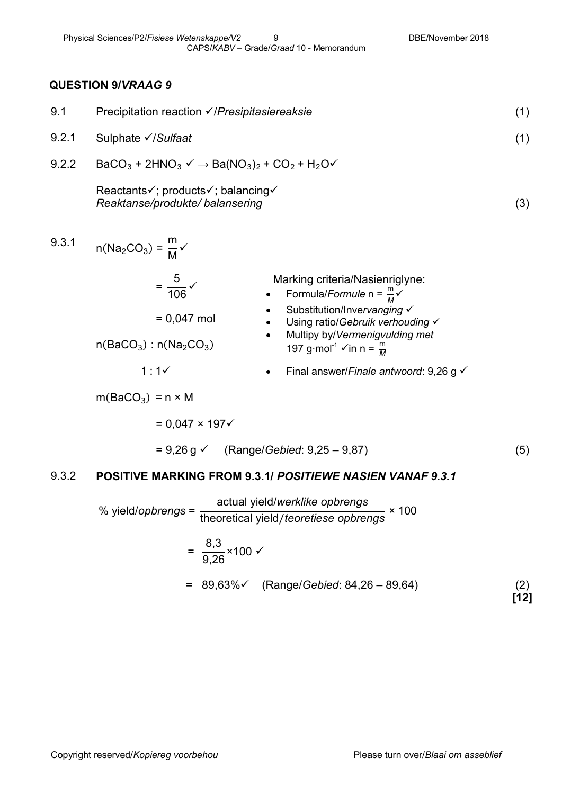#### **QUESTION 9/***VRAAG 9*

| 9.1   | Precipitation reaction √/Presipitasiereaksie                         | (1) |
|-------|----------------------------------------------------------------------|-----|
| 9.2.1 | Sulphate <del>V</del> /Sulfaat                                       | (1) |
| 9.2.2 | $BaCO3 + 2HNO3 \vee \rightarrow Ba(NO3)2 + CO2 + H2O\vee$            |     |
|       | Reactants√; products√; balancing√<br>Reaktanse/produkte/ balansering | (3) |
| 9.3.1 | $n(Na_2CO_3) = \frac{m}{M}$                                          |     |

$$
= \frac{5}{106} \times
$$
  
\n= 0,047 mol  
\n
$$
= 0.047 mol
$$
  
\n
$$
= 1 : 1 \times
$$
  
\n
$$
= 1 : 1 \times
$$
  
\n
$$
= 0.047 mol
$$
  
\n
$$
= 0.047 mol
$$
  
\n
$$
= 0.047 mol
$$
  
\n
$$
= 0.047 mol
$$
  
\n
$$
= 0.047 mol
$$
  
\n
$$
= 0.047 mol
$$
  
\n
$$
= 0.047 mol
$$
  
\n
$$
= 0.047 mol
$$
  
\n
$$
= 0.047 mol
$$
  
\n
$$
= 0.047 mol
$$
  
\n
$$
= 0.047 mol
$$
  
\n
$$
= 0.047 mol
$$
  
\n
$$
= 0.047 mol
$$
  
\n
$$
= 1.07 g/mol
$$
  
\n
$$
= 1.07 g/mol
$$
  
\n
$$
= 1.07 g/mol
$$
  
\n
$$
= 1.07 g/mol
$$
  
\n
$$
= 1.07 g/mol
$$
  
\n
$$
= 1.07 g/mol
$$
  
\n
$$
= 1.07 g/mol
$$
  
\n
$$
= 1.07 g/mol
$$
  
\n
$$
= 1.07 g/mol
$$
  
\n
$$
= 1.07 g/mol
$$
  
\n
$$
= 1.07 g/mol
$$
  
\n
$$
= 1.07 g/mol
$$
  
\n
$$
= 1.07 g/mol
$$
  
\n
$$
= 1.07 g/mol
$$
  
\n
$$
= 1.07 g/mol
$$
  
\n
$$
= 1.07 g/mol
$$
  
\n
$$
= 1.07 g/mol
$$
  
\n
$$
= 1.07 g/mol
$$
  
\n
$$
= 1.07 g/mol
$$
  
\n
$$
= 1.07 g/mol
$$
  
\n
$$
= 1
$$

 $m(BaCO<sub>3</sub>) = n \times M$ 

 $= 0.047 \times 197$ 

= 9,26 g (Range/*Gebied*: 9,25 – 9,87)

(5)

#### 9.3.2 **POSITIVE MARKING FROM 9.3.1/** *POSITIEWE NASIEN VANAF 9.3.1*

% yield/*opbrengs* = actual yield/*werklike opbrengs* theoretical yield/*teoretiese opbrengs* × 100  $=$ 8,3  $\frac{3.6}{9,26}$  × 100  $\sqrt{ }$ = 89,63% (Range/*Gebied*: 84,26 – 89,64) (2)

**[12]**